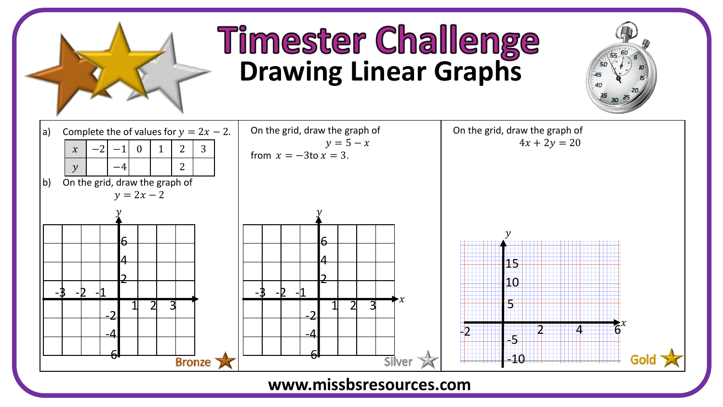

## **Timester Challenge**<br>Drawing Linear Graphs



## **www.missbsresources.com**